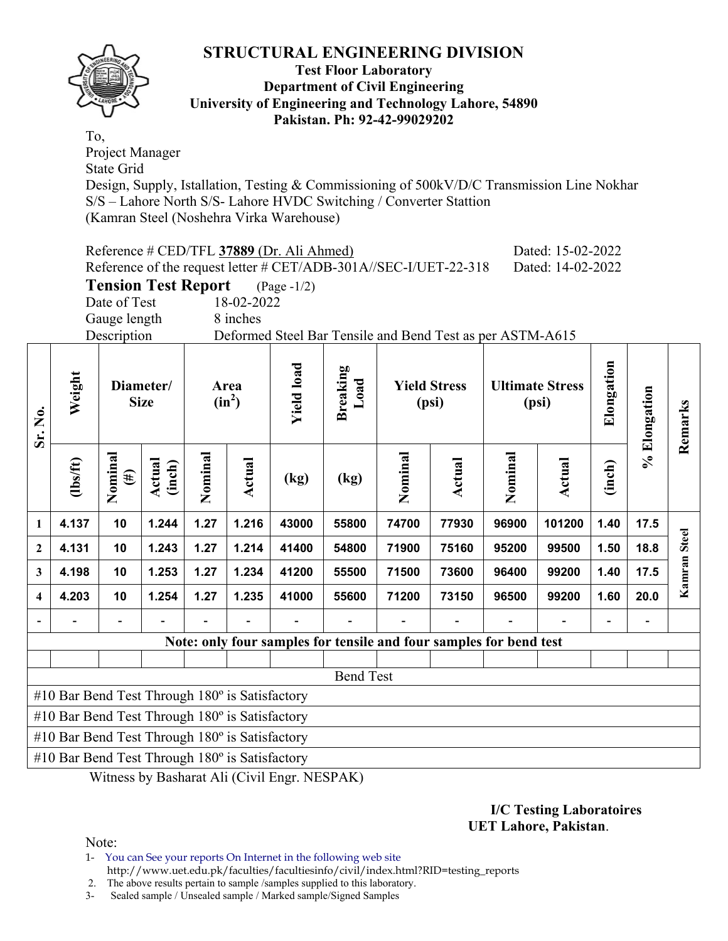

#### **Test Floor Laboratory Department of Civil Engineering University of Engineering and Technology Lahore, 54890 Pakistan. Ph: 92-42-99029202**

To, Project Manager State Grid Design, Supply, Istallation, Testing & Commissioning of 500kV/D/C Transmission Line Nokhar S/S – Lahore North S/S- Lahore HVDC Switching / Converter Stattion (Kamran Steel (Noshehra Virka Warehouse)

|                         |                                                                                                              |                              |                            |         |                        | Reference # CED/TFL 37889 (Dr. Ali Ahmed) | Reference of the request letter # CET/ADB-301A//SEC-I/UET-22-318   |         |                              |         | Dated: 15-02-2022<br>Dated: 14-02-2022 |            |              |              |  |
|-------------------------|--------------------------------------------------------------------------------------------------------------|------------------------------|----------------------------|---------|------------------------|-------------------------------------------|--------------------------------------------------------------------|---------|------------------------------|---------|----------------------------------------|------------|--------------|--------------|--|
|                         |                                                                                                              |                              | <b>Tension Test Report</b> |         |                        | $(\text{Page } -1/2)$                     |                                                                    |         |                              |         |                                        |            |              |              |  |
|                         |                                                                                                              | Date of Test<br>Gauge length |                            |         | 18-02-2022<br>8 inches |                                           |                                                                    |         |                              |         |                                        |            |              |              |  |
|                         |                                                                                                              | Description                  |                            |         |                        |                                           | Deformed Steel Bar Tensile and Bend Test as per ASTM-A615          |         |                              |         |                                        |            |              |              |  |
| Sr. No.                 | Weight                                                                                                       |                              | Diameter/<br><b>Size</b>   |         | Area<br>$(in^2)$       | <b>Yield load</b>                         | Breaking<br>Load                                                   |         | <b>Yield Stress</b><br>(psi) |         | <b>Ultimate Stress</b><br>(psi)        | Elongation | % Elongation | Remarks      |  |
|                         | (1bs/ft)                                                                                                     | Nominal<br>$(\#)$            | Actual<br>(inch)           | Nominal | Actual                 | (kg)                                      | (kg)                                                               | Nominal | Actual                       | Nominal | Actual                                 | (inch)     |              |              |  |
| $\mathbf{1}$            | 1.244<br>1.27<br>1.216<br>4.137<br>10<br>43000<br>74700<br>77930<br>96900<br>101200<br>1.40<br>17.5<br>55800 |                              |                            |         |                        |                                           |                                                                    |         |                              |         |                                        |            |              |              |  |
| $\boldsymbol{2}$        | 4.131                                                                                                        | 10                           | 1.243                      | 1.27    | 1.214                  | 41400                                     | 54800                                                              | 71900   | 75160                        | 95200   | 99500                                  | 1.50       | 18.8         | Kamran Steel |  |
| $\mathbf{3}$            | 4.198                                                                                                        | 10                           | 1.253                      | 1.27    | 1.234                  | 41200                                     | 55500                                                              | 71500   | 73600                        | 96400   | 99200                                  | 1.40       | 17.5         |              |  |
| $\overline{\mathbf{4}}$ | 4.203                                                                                                        | 10                           | 1.254                      | 1.27    | 1.235                  | 41000                                     | 55600                                                              | 71200   | 73150                        | 96500   | 99200                                  | 1.60       | 20.0         |              |  |
|                         |                                                                                                              |                              |                            |         |                        |                                           |                                                                    |         |                              |         |                                        |            |              |              |  |
|                         |                                                                                                              |                              |                            |         |                        |                                           | Note: only four samples for tensile and four samples for bend test |         |                              |         |                                        |            |              |              |  |
|                         |                                                                                                              |                              |                            |         |                        |                                           |                                                                    |         |                              |         |                                        |            |              |              |  |
|                         |                                                                                                              |                              |                            |         |                        |                                           | <b>Bend Test</b>                                                   |         |                              |         |                                        |            |              |              |  |
|                         | #10 Bar Bend Test Through 180° is Satisfactory                                                               |                              |                            |         |                        |                                           |                                                                    |         |                              |         |                                        |            |              |              |  |
|                         | #10 Bar Bend Test Through 180° is Satisfactory<br>#10 Bar Bend Test Through 180° is Satisfactory             |                              |                            |         |                        |                                           |                                                                    |         |                              |         |                                        |            |              |              |  |
|                         | #10 Bar Bend Test Through 180° is Satisfactory                                                               |                              |                            |         |                        |                                           |                                                                    |         |                              |         |                                        |            |              |              |  |
|                         |                                                                                                              |                              |                            |         |                        |                                           | $\mathbf{r}$                                                       |         |                              |         |                                        |            |              |              |  |

Witness by Basharat Ali (Civil Engr. NESPAK)

#### **I/C Testing Laboratoires UET Lahore, Pakistan**.

Note:

1- You can See your reports On Internet in the following web site http://www.uet.edu.pk/faculties/facultiesinfo/civil/index.html?RID=testing\_reports

2. The above results pertain to sample /samples supplied to this laboratory.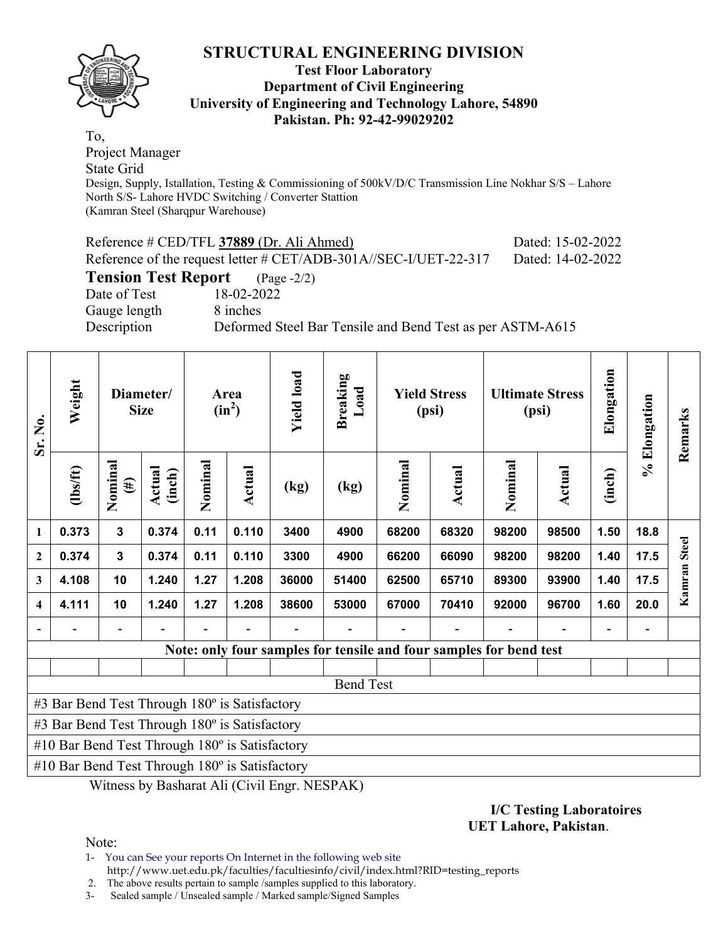

## **Test Floor Laboratory Department of Civil Engineering University of Engineering and Technology Lahore, 54890 Pakistan. Ph: 92-42-99029202**

To, Project Manager State Grid Design, Supply, Istallation, Testing & Commissioning of 500kV/D/C Transmission Line Nokhar S/S – Lahore North S/S- Lahore HVDC Switching / Converter Stattion (Kamran Steel (Sharqpur Warehouse)

|                                        | Reference # CED/TFL 37889 (Dr. Ali Ahmed)                        | Dated: 15-02-2022 |
|----------------------------------------|------------------------------------------------------------------|-------------------|
|                                        | Reference of the request letter # CET/ADB-301A//SEC-I/UET-22-317 | Dated: 14-02-2022 |
| <b>Tension Test Report</b> (Page -2/2) |                                                                  |                   |
| Date of Test                           | 18-02-2022                                                       |                   |
| Gauge length                           | 8 inches                                                         |                   |
| Description                            | Deformed Steel Bar Tensile and Bend Test as per ASTM-A615        |                   |
|                                        |                                                                  |                   |

| Sr. No.                 | Weight                                                |                   | Diameter/<br><b>Size</b> |         | Area<br>$(in^2)$ | <b>Yield load</b> | <b>Breaking</b><br>Load |         | <b>Yield Stress</b><br>(psi)                                       |         | <b>Ultimate Stress</b><br>(psi) | Elongation               | % Elongation | Remarks      |
|-------------------------|-------------------------------------------------------|-------------------|--------------------------|---------|------------------|-------------------|-------------------------|---------|--------------------------------------------------------------------|---------|---------------------------------|--------------------------|--------------|--------------|
|                         | $lbsft$                                               | Nominal<br>$(\#)$ | Actual<br>(inch)         | Nominal | Actual           | (kg)              | (kg)                    | Nominal | Actual                                                             | Nominal | Actual                          | (inch)                   |              |              |
| 1                       | 0.373                                                 | 3                 | 0.374                    | 0.11    | 0.110            | 3400              | 4900                    | 68200   | 68320                                                              | 98200   | 98500                           | 1.50                     | 18.8         |              |
| $\mathbf{2}$            | 0.374                                                 | $\mathbf{3}$      | 0.374                    | 0.11    | 0.110            | 3300              | 4900                    | 66200   | 66090                                                              | 98200   | 98200                           | 1.40                     | 17.5         |              |
| 3                       | 4.108                                                 | 10                | 1.240                    | 1.27    | 1.208            | 36000             | 51400                   | 62500   | 65710                                                              | 89300   | 93900                           | 1.40                     | 17.5         | Kamran Steel |
| $\overline{\mathbf{4}}$ | 4.111                                                 | 10                | 1.240                    | 1.27    | 1.208            | 38600             | 53000                   | 67000   | 70410                                                              | 92000   | 96700                           | 1.60                     | 20.0         |              |
|                         |                                                       |                   |                          |         |                  |                   |                         |         |                                                                    |         |                                 | $\overline{\phantom{0}}$ |              |              |
|                         |                                                       |                   |                          |         |                  |                   |                         |         | Note: only four samples for tensile and four samples for bend test |         |                                 |                          |              |              |
|                         |                                                       |                   |                          |         |                  |                   |                         |         |                                                                    |         |                                 |                          |              |              |
|                         |                                                       |                   |                          |         |                  |                   | <b>Bend Test</b>        |         |                                                                    |         |                                 |                          |              |              |
|                         | #3 Bar Bend Test Through 180° is Satisfactory         |                   |                          |         |                  |                   |                         |         |                                                                    |         |                                 |                          |              |              |
|                         | #3 Bar Bend Test Through 180° is Satisfactory         |                   |                          |         |                  |                   |                         |         |                                                                    |         |                                 |                          |              |              |
|                         | #10 Bar Bend Test Through $180^\circ$ is Satisfactory |                   |                          |         |                  |                   |                         |         |                                                                    |         |                                 |                          |              |              |
|                         | #10 Bar Bend Test Through 180° is Satisfactory        |                   |                          |         |                  |                   |                         |         |                                                                    |         |                                 |                          |              |              |

Witness by Basharat Ali (Civil Engr. NESPAK)

#### **I/C Testing Laboratoires UET Lahore, Pakistan**.

Note:

1- You can See your reports On Internet in the following web site http://www.uet.edu.pk/faculties/facultiesinfo/civil/index.html?RID=testing\_reports

2. The above results pertain to sample /samples supplied to this laboratory.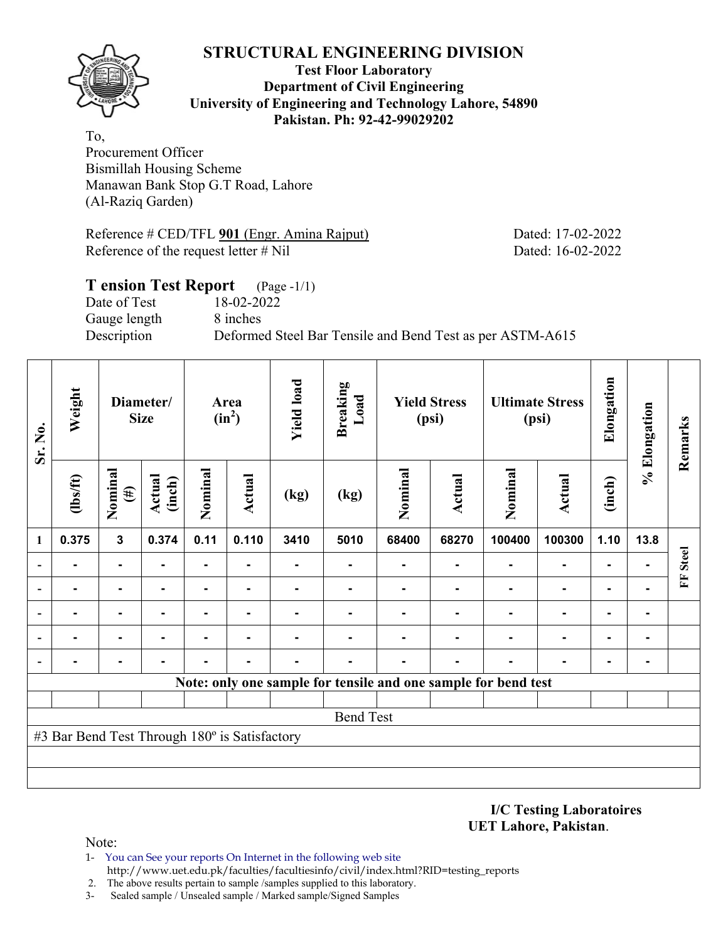## **Test Floor Laboratory Department of Civil Engineering University of Engineering and Technology Lahore, 54890 Pakistan. Ph: 92-42-99029202**

To, Procurement Officer Bismillah Housing Scheme Manawan Bank Stop G.T Road, Lahore (Al-Raziq Garden)

Reference # CED/TFL **901** (Engr. Amina Rajput) Dated: 17-02-2022 Reference of the request letter # Nil Dated: 16-02-2022

## **T ension Test Report** (Page -1/1) Date of Test 18-02-2022 Gauge length 8 inches Description Deformed Steel Bar Tensile and Bend Test as per ASTM-A615

| Sr. No. | Weight                                        |                   | Diameter/<br><b>Size</b> |                | Area<br>$(in^2)$ | <b>Yield load</b> | <b>Breaking</b><br>Load |         | <b>Yield Stress</b><br>(psi) |                                                                | <b>Ultimate Stress</b><br>(psi) | Elongation | % Elongation   | Remarks      |
|---------|-----------------------------------------------|-------------------|--------------------------|----------------|------------------|-------------------|-------------------------|---------|------------------------------|----------------------------------------------------------------|---------------------------------|------------|----------------|--------------|
|         | (1bs/ft)                                      | Nominal<br>$(\#)$ | <b>Actual</b><br>(inch)  | Nominal        | Actual           | (kg)              | (kg)                    | Nominal | <b>Actual</b>                | Nominal                                                        | <b>Actual</b>                   | (inch)     |                |              |
| 1       | 0.375                                         | $\mathbf{3}$      | 0.374                    | 0.11           | 0.110            | 3410              | 5010                    | 68400   | 68270                        | 100400                                                         | 100300                          | 1.10       | 13.8           |              |
|         |                                               |                   |                          |                |                  |                   |                         |         | $\blacksquare$               |                                                                |                                 |            |                | <b>Steel</b> |
|         |                                               |                   |                          |                |                  |                   |                         |         |                              |                                                                |                                 |            |                | E            |
|         |                                               |                   | $\blacksquare$           | $\blacksquare$ |                  |                   |                         |         |                              |                                                                |                                 |            | ۰              |              |
|         |                                               |                   |                          |                |                  |                   |                         |         |                              |                                                                |                                 |            | ۰              |              |
|         |                                               |                   |                          |                |                  |                   |                         |         |                              |                                                                |                                 |            | $\blacksquare$ |              |
|         |                                               |                   |                          |                |                  |                   |                         |         |                              | Note: only one sample for tensile and one sample for bend test |                                 |            |                |              |
|         |                                               |                   |                          |                |                  |                   |                         |         |                              |                                                                |                                 |            |                |              |
|         |                                               |                   |                          |                |                  |                   | <b>Bend Test</b>        |         |                              |                                                                |                                 |            |                |              |
|         | #3 Bar Bend Test Through 180° is Satisfactory |                   |                          |                |                  |                   |                         |         |                              |                                                                |                                 |            |                |              |
|         |                                               |                   |                          |                |                  |                   |                         |         |                              |                                                                |                                 |            |                |              |
|         |                                               |                   |                          |                |                  |                   |                         |         |                              |                                                                |                                 |            |                |              |

**I/C Testing Laboratoires UET Lahore, Pakistan**.

- 1- You can See your reports On Internet in the following web site http://www.uet.edu.pk/faculties/facultiesinfo/civil/index.html?RID=testing\_reports
- 2. The above results pertain to sample /samples supplied to this laboratory.
- 3- Sealed sample / Unsealed sample / Marked sample/Signed Samples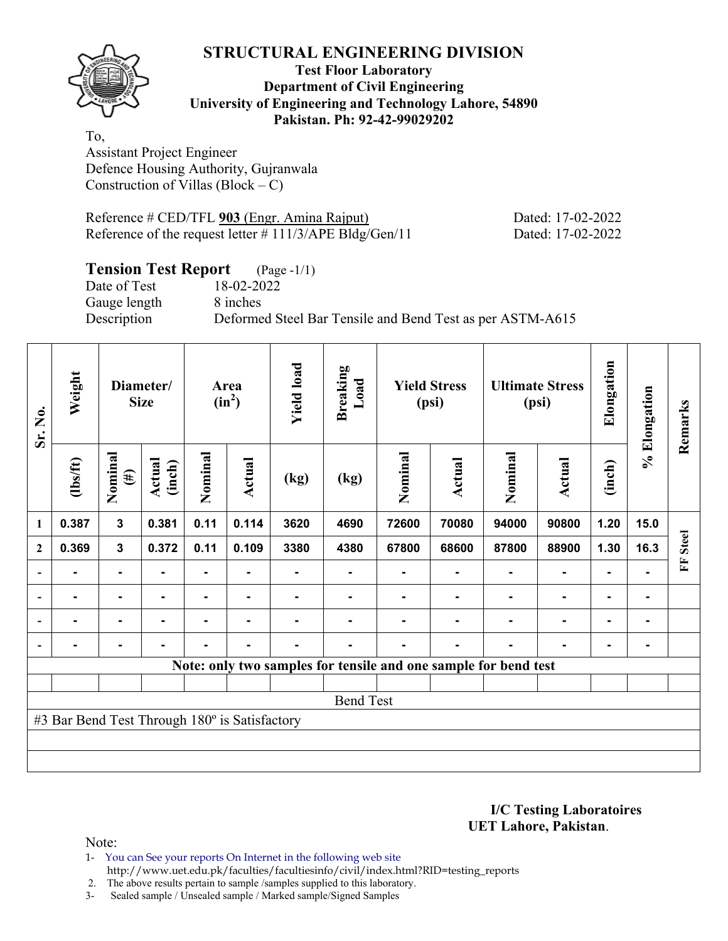

## **Test Floor Laboratory Department of Civil Engineering University of Engineering and Technology Lahore, 54890 Pakistan. Ph: 92-42-99029202**

To, Assistant Project Engineer Defence Housing Authority, Gujranwala Construction of Villas (Block –  $\tilde{C}$ )

| Reference # CED/TFL 903 (Engr. Amina Rajput) |                                                            |
|----------------------------------------------|------------------------------------------------------------|
|                                              | Reference of the request letter $\# 111/3/APE$ Bldg/Gen/11 |

Dated: 17-02-2022 Dated: 17-02-2022

# **Tension Test Report** (Page -1/1)

Date of Test 18-02-2022 Gauge length 8 inches

Description Deformed Steel Bar Tensile and Bend Test as per ASTM-A615

| Sr. No.        | Weight                                        |                   | Diameter/<br><b>Size</b> |         | Area<br>$(in^2)$ | <b>Yield load</b> | <b>Breaking</b><br>Load |         | <b>Yield Stress</b><br>(psi)                                    |         | <b>Ultimate Stress</b><br>(psi) | Elongation     | % Elongation | Remarks      |
|----------------|-----------------------------------------------|-------------------|--------------------------|---------|------------------|-------------------|-------------------------|---------|-----------------------------------------------------------------|---------|---------------------------------|----------------|--------------|--------------|
|                | (1bs/ft)                                      | Nominal<br>$(\#)$ | Actual<br>(inch)         | Nominal | Actual           | (kg)              | (kg)                    | Nominal | Actual                                                          | Nominal | Actual                          | (inch)         |              |              |
| 1              | 0.387                                         | $\mathbf{3}$      | 0.381                    | 0.11    | 0.114            | 3620              | 4690                    | 72600   | 70080                                                           | 94000   | 90800                           | 1.20           | 15.0         |              |
| $\overline{2}$ | 0.369                                         | $\mathbf{3}$      | 0.372                    | 0.11    | 0.109            | 3380              | 4380                    | 67800   | 68600                                                           | 87800   | 88900                           | 1.30           | 16.3         | <b>Steel</b> |
|                |                                               | $\blacksquare$    |                          |         |                  |                   |                         |         |                                                                 |         |                                 |                |              | Ě            |
|                |                                               | $\blacksquare$    |                          |         | -                |                   |                         |         |                                                                 |         | $\blacksquare$                  | $\blacksquare$ |              |              |
|                |                                               | $\blacksquare$    |                          | ۰       | $\blacksquare$   |                   |                         |         |                                                                 |         | $\blacksquare$                  | $\blacksquare$ |              |              |
|                | $\blacksquare$                                | $\blacksquare$    |                          | ۰       | $\blacksquare$   |                   | -                       |         | $\blacksquare$                                                  |         | $\blacksquare$                  | $\blacksquare$ |              |              |
|                |                                               |                   |                          |         |                  |                   |                         |         | Note: only two samples for tensile and one sample for bend test |         |                                 |                |              |              |
|                |                                               |                   |                          |         |                  |                   |                         |         |                                                                 |         |                                 |                |              |              |
|                |                                               |                   |                          |         |                  |                   | <b>Bend Test</b>        |         |                                                                 |         |                                 |                |              |              |
|                | #3 Bar Bend Test Through 180° is Satisfactory |                   |                          |         |                  |                   |                         |         |                                                                 |         |                                 |                |              |              |
|                |                                               |                   |                          |         |                  |                   |                         |         |                                                                 |         |                                 |                |              |              |
|                |                                               |                   |                          |         |                  |                   |                         |         |                                                                 |         |                                 |                |              |              |

**I/C Testing Laboratoires UET Lahore, Pakistan**.

Note:

1- You can See your reports On Internet in the following web site http://www.uet.edu.pk/faculties/facultiesinfo/civil/index.html?RID=testing\_reports

2. The above results pertain to sample /samples supplied to this laboratory.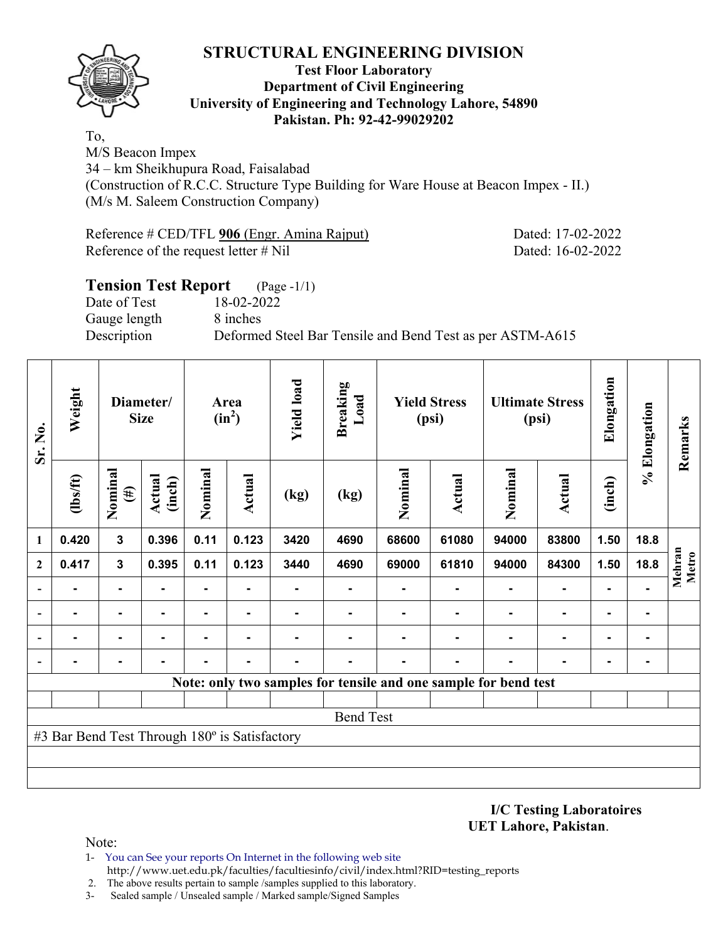

#### **Test Floor Laboratory Department of Civil Engineering University of Engineering and Technology Lahore, 54890 Pakistan. Ph: 92-42-99029202**

To,

M/S Beacon Impex 34 – km Sheikhupura Road, Faisalabad (Construction of R.C.C. Structure Type Building for Ware House at Beacon Impex - II.) (M/s M. Saleem Construction Company)

Reference # CED/TFL **906** (Engr. Amina Rajput) Dated: 17-02-2022 Reference of the request letter # Nil Dated: 16-02-2022

# **Tension Test Report** (Page -1/1) Date of Test 18-02-2022 Gauge length 8 inches Description Deformed Steel Bar Tensile and Bend Test as per ASTM-A615

| Sr. No.      | Weight                                        |                   | Diameter/<br><b>Size</b> |                | Area<br>$(in^2)$ | <b>Yield load</b> | <b>Breaking</b><br>Load                                         |                | <b>Yield Stress</b><br>(psi) |         | <b>Ultimate Stress</b><br>(psi) | Elongation     | % Elongation | Remarks         |
|--------------|-----------------------------------------------|-------------------|--------------------------|----------------|------------------|-------------------|-----------------------------------------------------------------|----------------|------------------------------|---------|---------------------------------|----------------|--------------|-----------------|
|              | (1bs/ft)                                      | Nominal<br>$(\#)$ | <b>Actual</b><br>(inch)  | Nominal        | Actual           | (kg)              | (kg)                                                            | Nominal        | <b>Actual</b>                | Nominal | <b>Actual</b>                   | (inch)         |              |                 |
| 1            | 0.420                                         | $\mathbf{3}$      | 0.396                    | 0.11           | 0.123            | 3420              | 4690                                                            | 68600          | 61080                        | 94000   | 83800                           | 1.50           | 18.8         |                 |
| $\mathbf{2}$ | 0.417                                         | $\mathbf{3}$      | 0.395                    | 0.11           | 0.123            | 3440              | 4690                                                            | 69000          | 61810                        | 94000   | 84300                           | 1.50           | 18.8         | Mehran<br>Metro |
|              |                                               |                   |                          | $\blacksquare$ |                  |                   |                                                                 |                |                              |         | $\blacksquare$                  | $\blacksquare$ |              |                 |
|              | $\blacksquare$                                | $\blacksquare$    |                          | ۰              | ۰                |                   | ۰                                                               | $\blacksquare$ |                              |         | $\blacksquare$                  | $\blacksquare$ | ٠            |                 |
|              | ۰                                             | $\blacksquare$    | -                        | -              |                  |                   | $\overline{\phantom{0}}$                                        | $\blacksquare$ |                              | ۰       | $\blacksquare$                  | $\blacksquare$ |              |                 |
|              |                                               |                   |                          |                |                  |                   |                                                                 |                |                              |         |                                 | ۰              | ۰            |                 |
|              |                                               |                   |                          |                |                  |                   | Note: only two samples for tensile and one sample for bend test |                |                              |         |                                 |                |              |                 |
|              |                                               |                   |                          |                |                  |                   |                                                                 |                |                              |         |                                 |                |              |                 |
|              |                                               |                   |                          |                |                  |                   | <b>Bend Test</b>                                                |                |                              |         |                                 |                |              |                 |
|              | #3 Bar Bend Test Through 180° is Satisfactory |                   |                          |                |                  |                   |                                                                 |                |                              |         |                                 |                |              |                 |
|              |                                               |                   |                          |                |                  |                   |                                                                 |                |                              |         |                                 |                |              |                 |
|              |                                               |                   |                          |                |                  |                   |                                                                 |                |                              |         |                                 |                |              |                 |

**I/C Testing Laboratoires UET Lahore, Pakistan**.

- 1- You can See your reports On Internet in the following web site http://www.uet.edu.pk/faculties/facultiesinfo/civil/index.html?RID=testing\_reports
- 2. The above results pertain to sample /samples supplied to this laboratory.
- 3- Sealed sample / Unsealed sample / Marked sample/Signed Samples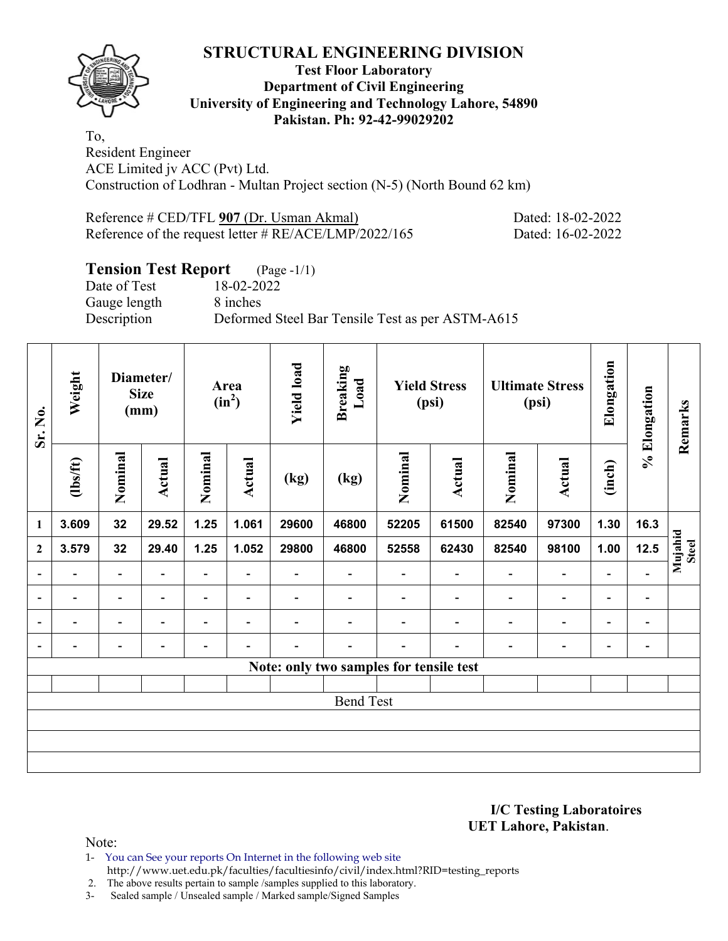

## **Test Floor Laboratory Department of Civil Engineering University of Engineering and Technology Lahore, 54890 Pakistan. Ph: 92-42-99029202**

To, Resident Engineer ACE Limited jv ACC (Pvt) Ltd. Construction of Lodhran - Multan Project section (N-5) (North Bound 62 km)

Reference # CED/TFL 907 (Dr. Usman Akmal) Dated: 18-02-2022 Reference of the request letter # RE/ACE/LMP/2022/165 Dated: 16-02-2022

## **Tension Test Report** (Page -1/1)

Gauge length 8 inches

Date of Test 18-02-2022 Description Deformed Steel Bar Tensile Test as per ASTM-A615

| Sr. No.                  | Weight                   |                          | Diameter/<br><b>Size</b><br>(mm) |                          | Area<br>$(in^2)$         | <b>Yield load</b>        | <b>Breaking</b><br>Load                 |                          | <b>Yield Stress</b><br>(psi) |                          | <b>Ultimate Stress</b><br>(psi) | Elongation                   | % Elongation             | Remarks                 |
|--------------------------|--------------------------|--------------------------|----------------------------------|--------------------------|--------------------------|--------------------------|-----------------------------------------|--------------------------|------------------------------|--------------------------|---------------------------------|------------------------------|--------------------------|-------------------------|
|                          | $\frac{2}{10}$           | Nominal                  | <b>Actual</b>                    | Nominal                  | Actual                   | (kg)                     | (kg)                                    | Nominal                  | Actual                       | Nominal                  | Actual                          | (inch)                       |                          |                         |
| $\mathbf{1}$             | 3.609                    | 32                       | 29.52                            | 1.25                     | 1.061                    | 29600                    | 46800                                   | 52205                    | 61500                        | 82540                    | 97300                           | 1.30                         | 16.3                     |                         |
| $\overline{2}$           | 3.579                    | 32                       | 29.40                            | 1.25                     | 1.052                    | 29800                    | 46800                                   | 52558                    | 62430                        | 82540                    | 98100                           | 1.00                         | 12.5                     | Mujahid<br><b>Steel</b> |
| $\overline{\phantom{a}}$ | $\overline{\phantom{0}}$ | $\blacksquare$           | $\overline{\phantom{0}}$         | $\overline{\phantom{a}}$ | $\blacksquare$           | $\overline{\phantom{0}}$ | $\overline{\phantom{a}}$                | $\overline{\phantom{a}}$ | $\overline{\phantom{0}}$     | $\overline{\phantom{0}}$ | $\overline{\phantom{0}}$        | $\overline{\phantom{0}}$     | $\blacksquare$           |                         |
| $\blacksquare$           |                          | $\overline{\phantom{0}}$ |                                  | $\overline{\phantom{0}}$ | $\overline{\phantom{0}}$ |                          |                                         |                          |                              | $\overline{\phantom{0}}$ | $\qquad \qquad \blacksquare$    | $\qquad \qquad \blacksquare$ | -                        |                         |
| $\overline{\phantom{a}}$ |                          | $\overline{\phantom{0}}$ |                                  | $\blacksquare$           | $\overline{\phantom{0}}$ |                          |                                         |                          |                              |                          | $\overline{\phantom{0}}$        | $\overline{\phantom{0}}$     | -                        |                         |
| $\overline{\phantom{a}}$ | $\overline{\phantom{0}}$ | $\overline{\phantom{0}}$ | $\overline{\phantom{0}}$         | $\overline{\phantom{0}}$ | $\overline{\phantom{0}}$ | -                        | $\overline{\phantom{0}}$                |                          | $\overline{\phantom{0}}$     | $\overline{\phantom{0}}$ | $\overline{\phantom{0}}$        | $\overline{\phantom{0}}$     | $\overline{\phantom{a}}$ |                         |
|                          |                          |                          |                                  |                          |                          |                          | Note: only two samples for tensile test |                          |                              |                          |                                 |                              |                          |                         |
|                          |                          |                          |                                  |                          |                          |                          |                                         |                          |                              |                          |                                 |                              |                          |                         |
|                          |                          |                          |                                  |                          |                          |                          | <b>Bend Test</b>                        |                          |                              |                          |                                 |                              |                          |                         |
|                          |                          |                          |                                  |                          |                          |                          |                                         |                          |                              |                          |                                 |                              |                          |                         |
|                          |                          |                          |                                  |                          |                          |                          |                                         |                          |                              |                          |                                 |                              |                          |                         |
|                          |                          |                          |                                  |                          |                          |                          |                                         |                          |                              |                          |                                 |                              |                          |                         |

**I/C Testing Laboratoires UET Lahore, Pakistan**.

Note:

1- You can See your reports On Internet in the following web site http://www.uet.edu.pk/faculties/facultiesinfo/civil/index.html?RID=testing\_reports

2. The above results pertain to sample /samples supplied to this laboratory.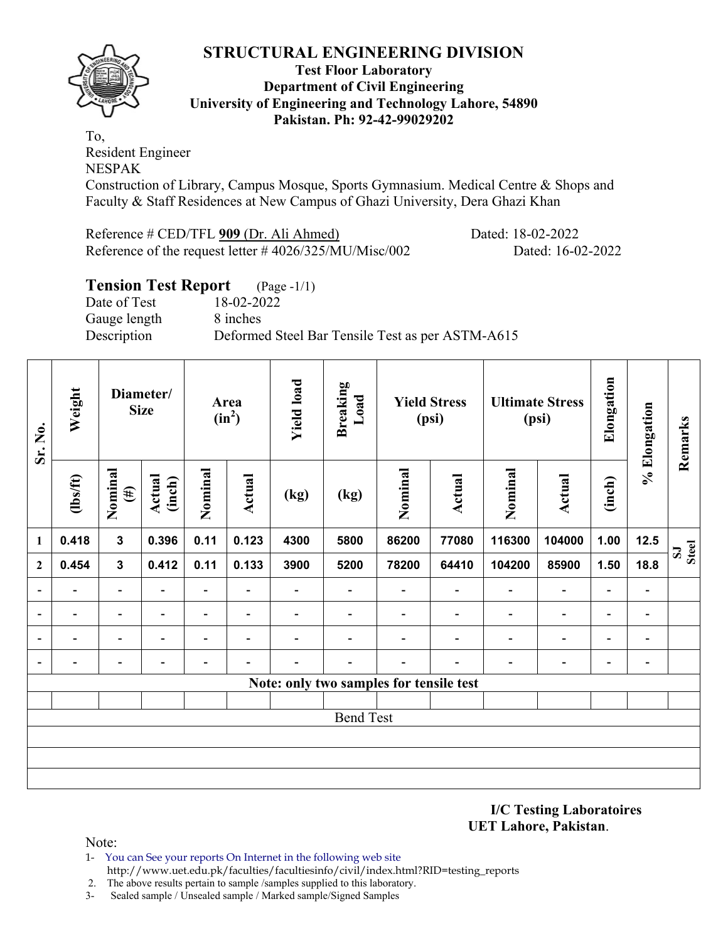

#### **Test Floor Laboratory Department of Civil Engineering University of Engineering and Technology Lahore, 54890 Pakistan. Ph: 92-42-99029202**

To, Resident Engineer NESPAK

Construction of Library, Campus Mosque, Sports Gymnasium. Medical Centre & Shops and Faculty & Staff Residences at New Campus of Ghazi University, Dera Ghazi Khan

Reference # CED/TFL **909** (Dr. Ali Ahmed) Dated: 18-02-2022 Reference of the request letter # 4026/325/MU/Misc/002 Dated: 16-02-2022

## **Tension Test Report** (Page -1/1)

Date of Test 18-02-2022 Gauge length 8 inches

Description Deformed Steel Bar Tensile Test as per ASTM-A615

| Sr. No.                  | Weight         |                         | Diameter/<br><b>Size</b> |                          | Area<br>$(in^2)$         | <b>Yield load</b>        | <b>Breaking</b><br>Load                 |                          | <b>Yield Stress</b><br>(psi) |                          | <b>Ultimate Stress</b><br>(psi) | Elongation               | % Elongation                 | Remarks                      |
|--------------------------|----------------|-------------------------|--------------------------|--------------------------|--------------------------|--------------------------|-----------------------------------------|--------------------------|------------------------------|--------------------------|---------------------------------|--------------------------|------------------------------|------------------------------|
|                          | $\frac{2}{10}$ | Nominal<br>$(\#)$       | <b>Actual</b><br>(inch)  | Nominal                  | <b>Actual</b>            | (kg)                     | (kg)                                    | Nominal                  | <b>Actual</b>                | Nominal                  | <b>Actual</b>                   | (inch)                   |                              |                              |
| 1                        | 0.418          | $\overline{\mathbf{3}}$ | 0.396                    | 0.11                     | 0.123                    | 4300                     | 5800                                    | 86200                    | 77080                        | 116300                   | 104000                          | 1.00                     | 12.5                         | <b>Steel</b><br>$\mathbf{S}$ |
| $\mathbf{2}$             | 0.454          | $\mathbf{3}$            | 0.412                    | 0.11                     | 0.133                    |                          | 5200                                    | 78200                    | 64410                        | 104200                   | 85900                           | 1.50                     | 18.8                         |                              |
| $\blacksquare$           | -              | $\blacksquare$          |                          | Ξ.                       | $\overline{\phantom{0}}$ |                          | $\overline{\phantom{a}}$                |                          | $\overline{\phantom{a}}$     | $\blacksquare$           | $\overline{a}$                  | $\overline{\phantom{a}}$ | $\qquad \qquad \blacksquare$ |                              |
| $\blacksquare$           | -              | -                       |                          | $\overline{\phantom{0}}$ | $\blacksquare$           | $\overline{\phantom{0}}$ | $\qquad \qquad -$                       |                          | ۰                            | $\overline{\phantom{a}}$ | $\overline{\phantom{a}}$        | $\overline{\phantom{a}}$ | $\overline{\phantom{0}}$     |                              |
| $\overline{\phantom{a}}$ | -              | $\blacksquare$          | $\blacksquare$           | $\overline{\phantom{0}}$ | $\blacksquare$           | -                        | $\overline{\phantom{a}}$                | $\overline{\phantom{0}}$ | $\overline{\phantom{a}}$     | $\overline{\phantom{a}}$ | $\overline{\phantom{a}}$        | $\overline{\phantom{a}}$ | $\overline{\phantom{a}}$     |                              |
| $\overline{\phantom{a}}$ | -              | -                       | $\overline{\phantom{0}}$ | Ξ.                       | $\overline{\phantom{0}}$ |                          | $\overline{\phantom{0}}$                | $\overline{\phantom{0}}$ |                              | $\blacksquare$           | $\overline{\phantom{a}}$        | $\overline{\phantom{a}}$ | $\blacksquare$               |                              |
|                          |                |                         |                          |                          |                          |                          | Note: only two samples for tensile test |                          |                              |                          |                                 |                          |                              |                              |
|                          |                |                         |                          |                          |                          |                          |                                         |                          |                              |                          |                                 |                          |                              |                              |
|                          |                |                         |                          |                          |                          |                          | <b>Bend Test</b>                        |                          |                              |                          |                                 |                          |                              |                              |
|                          |                |                         |                          |                          |                          |                          |                                         |                          |                              |                          |                                 |                          |                              |                              |
|                          |                |                         |                          |                          |                          |                          |                                         |                          |                              |                          |                                 |                          |                              |                              |
|                          |                |                         |                          |                          |                          |                          |                                         |                          |                              |                          |                                 |                          |                              |                              |

**I/C Testing Laboratoires UET Lahore, Pakistan**.

- 1- You can See your reports On Internet in the following web site http://www.uet.edu.pk/faculties/facultiesinfo/civil/index.html?RID=testing\_reports
- 2. The above results pertain to sample /samples supplied to this laboratory.
- 3- Sealed sample / Unsealed sample / Marked sample/Signed Samples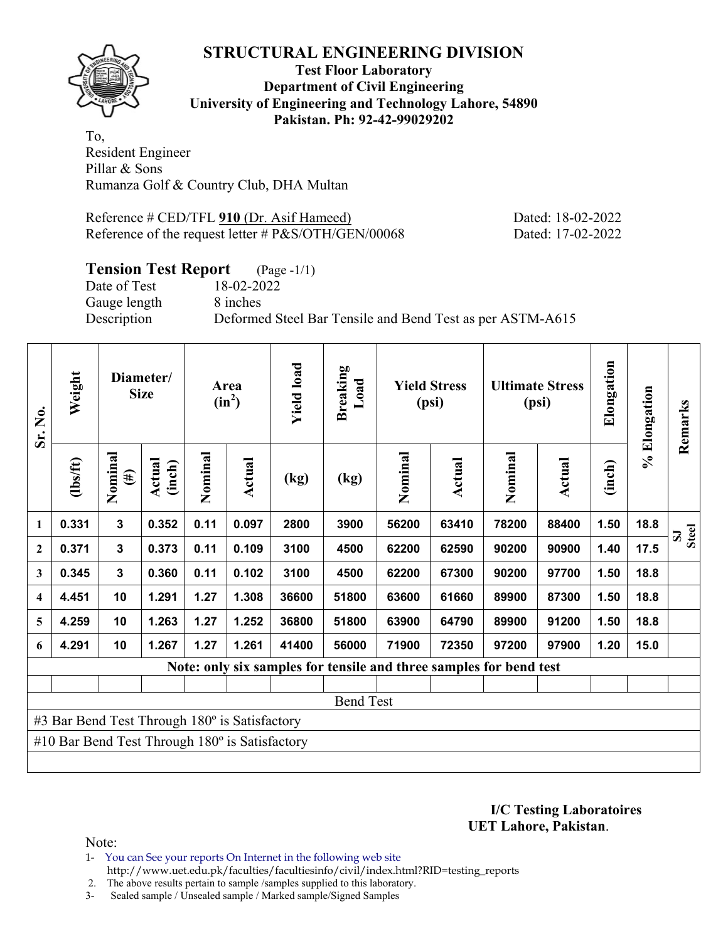

## **Test Floor Laboratory Department of Civil Engineering University of Engineering and Technology Lahore, 54890 Pakistan. Ph: 92-42-99029202**

To, Resident Engineer Pillar & Sons Rumanza Golf & Country Club, DHA Multan

Reference # CED/TFL **910** (Dr. Asif Hameed) Dated: 18-02-2022 Reference of the request letter # P&S/OTH/GEN/00068 Dated: 17-02-2022

## **Tension Test Report** (Page -1/1)

Gauge length 8 inches

Date of Test 18-02-2022 Description Deformed Steel Bar Tensile and Bend Test as per ASTM-A615

| Sr. No.                 | Weight                                                |                   | Diameter/<br><b>Size</b> |         | Area<br>$(in^2)$ | <b>Yield load</b> | <b>Breaking</b><br>Load |         | <b>Yield Stress</b><br>(psi) |                                                                    | <b>Ultimate Stress</b><br>(psi) | Elongation | % Elongation | Remarks |
|-------------------------|-------------------------------------------------------|-------------------|--------------------------|---------|------------------|-------------------|-------------------------|---------|------------------------------|--------------------------------------------------------------------|---------------------------------|------------|--------------|---------|
|                         | (1bs/ft)                                              | Nominal<br>$(\#)$ | Actual<br>(inch)         | Nominal | Actual           | (kg)              | (kg)                    | Nominal | Actual                       | Nominal                                                            | Actual                          | (inch)     |              |         |
| 1                       | 0.331                                                 | $\mathbf{3}$      | 0.352                    | 0.11    | 0.097            | 2800              | 3900                    | 56200   | 63410                        | 78200                                                              | 88400                           | 1.50       | 18.8         | Steel   |
| $\boldsymbol{2}$        | 0.371                                                 | $\mathbf{3}$      | 0.373                    | 0.11    | 0.109            | 3100              | 4500                    | 62200   | 62590                        | 90200                                                              | 90900                           | 1.40       | 17.5         |         |
| 3                       | 0.345                                                 | $\mathbf{3}$      | 0.360                    | 0.11    | 0.102            | 3100              | 4500                    | 62200   | 67300                        | 90200                                                              | 97700                           | 1.50       | 18.8         |         |
| $\overline{\mathbf{4}}$ | 4.451                                                 | 10                | 1.291                    | 1.27    | 1.308            | 36600             | 51800                   | 63600   | 61660                        | 89900                                                              | 87300                           | 1.50       | 18.8         |         |
| 5                       | 4.259                                                 | 10                | 1.263                    | 1.27    | 1.252            | 36800             | 51800                   | 63900   | 64790                        | 89900                                                              | 91200                           | 1.50       | 18.8         |         |
| 6                       | 4.291                                                 | 10                | 1.267                    | 1.27    | 1.261            | 41400             | 56000                   | 71900   | 72350                        | 97200                                                              | 97900                           | 1.20       | 15.0         |         |
|                         |                                                       |                   |                          |         |                  |                   |                         |         |                              | Note: only six samples for tensile and three samples for bend test |                                 |            |              |         |
|                         |                                                       |                   |                          |         |                  |                   |                         |         |                              |                                                                    |                                 |            |              |         |
|                         |                                                       |                   |                          |         |                  |                   | <b>Bend Test</b>        |         |                              |                                                                    |                                 |            |              |         |
|                         | #3 Bar Bend Test Through 180° is Satisfactory         |                   |                          |         |                  |                   |                         |         |                              |                                                                    |                                 |            |              |         |
|                         | #10 Bar Bend Test Through $180^\circ$ is Satisfactory |                   |                          |         |                  |                   |                         |         |                              |                                                                    |                                 |            |              |         |
|                         |                                                       |                   |                          |         |                  |                   |                         |         |                              |                                                                    |                                 |            |              |         |

**I/C Testing Laboratoires UET Lahore, Pakistan**.

Note:

- 1- You can See your reports On Internet in the following web site http://www.uet.edu.pk/faculties/facultiesinfo/civil/index.html?RID=testing\_reports
- 2. The above results pertain to sample /samples supplied to this laboratory.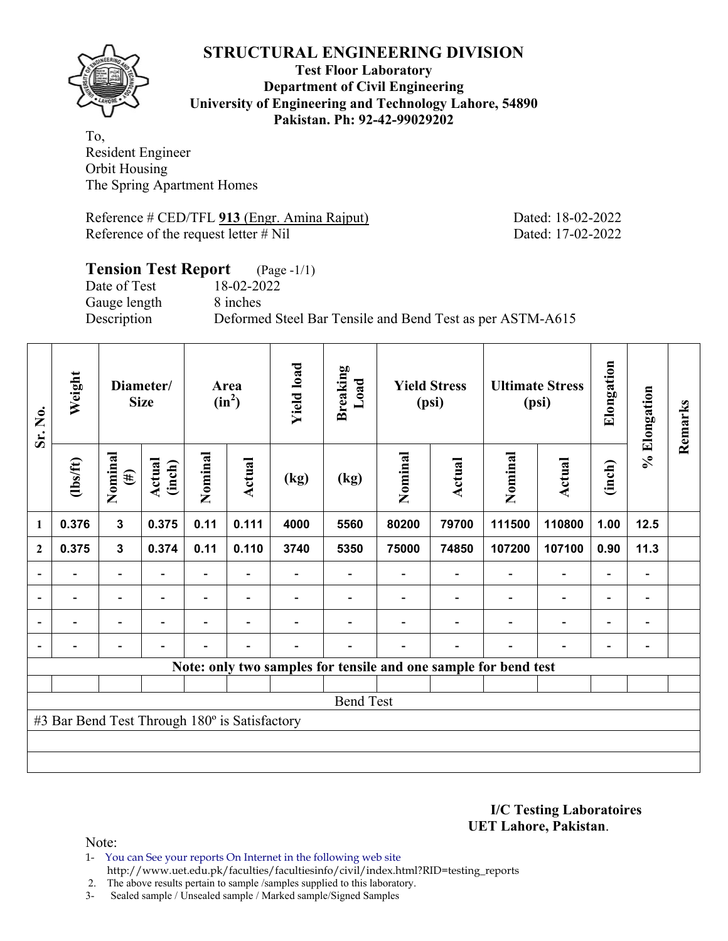

## **Test Floor Laboratory Department of Civil Engineering University of Engineering and Technology Lahore, 54890 Pakistan. Ph: 92-42-99029202**

To, Resident Engineer Orbit Housing The Spring Apartment Homes

Reference # CED/TFL **913** (Engr. Amina Rajput) Dated: 18-02-2022 Reference of the request letter # Nil Dated: 17-02-2022

## **Tension Test Report** (Page -1/1)<br>Date of Test 18-02-2022 Date of Test Gauge length 8 inches Description Deformed Steel Bar Tensile and Bend Test as per ASTM-A615

| Sr. No.        | Weight                                        |                          | Diameter/<br><b>Size</b> |         | Area<br>$(in^2)$         | <b>Yield load</b> | <b>Breaking</b><br>Load |         | <b>Yield Stress</b><br>(psi) |                                                                 | <b>Ultimate Stress</b><br>(psi) | Elongation               | % Elongation                 | Remarks |
|----------------|-----------------------------------------------|--------------------------|--------------------------|---------|--------------------------|-------------------|-------------------------|---------|------------------------------|-----------------------------------------------------------------|---------------------------------|--------------------------|------------------------------|---------|
|                | $\frac{2}{10}$                                | Nominal<br>$(\#)$        | Actual<br>(inch)         | Nominal | Actual                   | (kg)              | (kg)                    | Nominal | Actual                       | Nominal                                                         | <b>Actual</b>                   | (inch)                   |                              |         |
| 1              | 0.376                                         | $\mathbf{3}$             | 0.375                    | 0.11    | 0.111                    | 4000              | 5560                    | 80200   | 79700                        | 111500                                                          | 110800                          | 1.00                     | 12.5                         |         |
| $\mathbf{2}$   | 0.375                                         | $\mathbf{3}$             | 0.374                    | 0.11    | 0.110                    | 3740              | 5350                    | 75000   | 74850                        | 107200                                                          | 107100                          | 0.90                     | 11.3                         |         |
|                |                                               | $\overline{\phantom{0}}$ |                          |         |                          |                   |                         |         |                              |                                                                 | $\overline{\phantom{0}}$        | $\overline{\phantom{0}}$ |                              |         |
| $\overline{a}$ | -                                             | $\overline{\phantom{a}}$ |                          |         | $\overline{\phantom{a}}$ |                   |                         |         |                              |                                                                 | $\overline{\phantom{0}}$        | $\overline{\phantom{0}}$ | $\qquad \qquad \blacksquare$ |         |
|                | $\overline{\phantom{0}}$                      | $\overline{\phantom{0}}$ | $\blacksquare$           |         | $\blacksquare$           |                   |                         |         |                              | $\overline{\phantom{0}}$                                        | $\blacksquare$                  | $\overline{\phantom{0}}$ | $\overline{\phantom{0}}$     |         |
|                |                                               | $\overline{\phantom{0}}$ |                          |         | $\blacksquare$           | -                 |                         |         | ۰                            | ۰                                                               | $\blacksquare$                  | $\overline{\phantom{0}}$ | $\overline{\phantom{0}}$     |         |
|                |                                               |                          |                          |         |                          |                   |                         |         |                              | Note: only two samples for tensile and one sample for bend test |                                 |                          |                              |         |
|                |                                               |                          |                          |         |                          |                   |                         |         |                              |                                                                 |                                 |                          |                              |         |
|                |                                               |                          |                          |         |                          |                   | <b>Bend Test</b>        |         |                              |                                                                 |                                 |                          |                              |         |
|                | #3 Bar Bend Test Through 180° is Satisfactory |                          |                          |         |                          |                   |                         |         |                              |                                                                 |                                 |                          |                              |         |
|                |                                               |                          |                          |         |                          |                   |                         |         |                              |                                                                 |                                 |                          |                              |         |
|                |                                               |                          |                          |         |                          |                   |                         |         |                              |                                                                 |                                 |                          |                              |         |

**I/C Testing Laboratoires UET Lahore, Pakistan**.

- 1- You can See your reports On Internet in the following web site http://www.uet.edu.pk/faculties/facultiesinfo/civil/index.html?RID=testing\_reports
- 2. The above results pertain to sample /samples supplied to this laboratory.
- 3- Sealed sample / Unsealed sample / Marked sample/Signed Samples